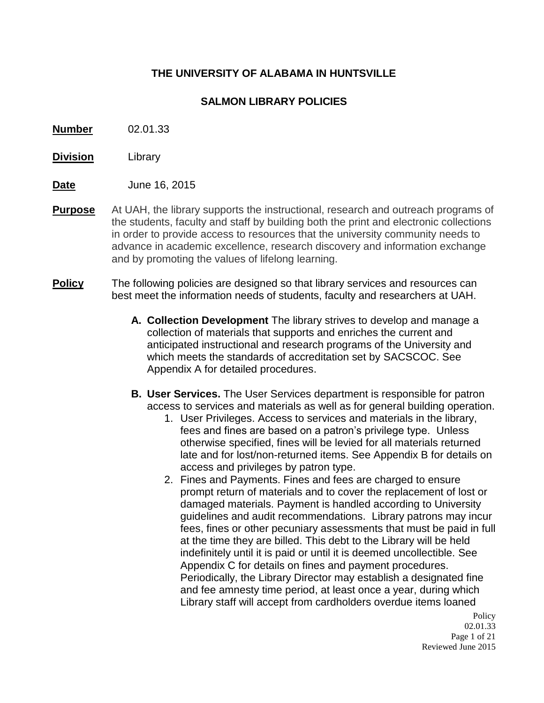## **THE UNIVERSITY OF ALABAMA IN HUNTSVILLE**

### **SALMON LIBRARY POLICIES**

- **Number** 02.01.33
- **Division** Library
- **Date** June 16, 2015
- **Purpose** At UAH, the library supports the instructional, research and outreach programs of the students, faculty and staff by building both the print and electronic collections in order to provide access to resources that the university community needs to advance in academic excellence, research discovery and information exchange and by promoting the values of lifelong learning.
- **Policy** The following policies are designed so that library services and resources can best meet the information needs of students, faculty and researchers at UAH.
	- **A. Collection Development** The library strives to develop and manage a collection of materials that supports and enriches the current and anticipated instructional and research programs of the University and which meets the standards of accreditation set by SACSCOC. See Appendix A for detailed procedures.
	- **B. User Services.** The User Services department is responsible for patron access to services and materials as well as for general building operation.
		- 1. User Privileges. Access to services and materials in the library, fees and fines are based on a patron's privilege type. Unless otherwise specified, fines will be levied for all materials returned late and for lost/non-returned items. See Appendix B for details on access and privileges by patron type.
		- 2. Fines and Payments. Fines and fees are charged to ensure prompt return of materials and to cover the replacement of lost or damaged materials. Payment is handled according to University guidelines and audit recommendations. Library patrons may incur fees, fines or other pecuniary assessments that must be paid in full at the time they are billed. This debt to the Library will be held indefinitely until it is paid or until it is deemed uncollectible. See Appendix C for details on fines and payment procedures. Periodically, the Library Director may establish a designated fine and fee amnesty time period, at least once a year, during which Library staff will accept from cardholders overdue items loaned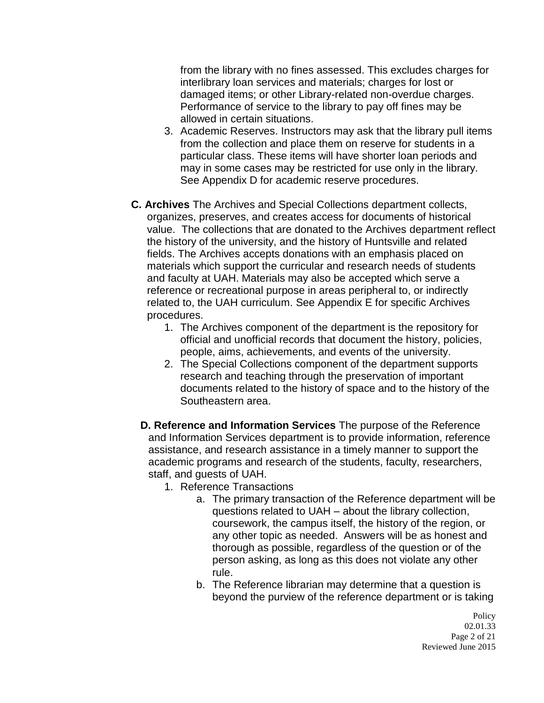from the library with no fines assessed. This excludes charges for interlibrary loan services and materials; charges for lost or damaged items; or other Library-related non-overdue charges. Performance of service to the library to pay off fines may be allowed in certain situations.

- 3. Academic Reserves. Instructors may ask that the library pull items from the collection and place them on reserve for students in a particular class. These items will have shorter loan periods and may in some cases may be restricted for use only in the library. See Appendix D for academic reserve procedures.
- **C. Archives** The Archives and Special Collections department collects, organizes, preserves, and creates access for documents of historical value. The collections that are donated to the Archives department reflect the history of the university, and the history of Huntsville and related fields. The Archives accepts donations with an emphasis placed on materials which support the curricular and research needs of students and faculty at UAH. Materials may also be accepted which serve a reference or recreational purpose in areas peripheral to, or indirectly related to, the UAH curriculum. See Appendix E for specific Archives procedures.
	- 1. The Archives component of the department is the repository for official and unofficial records that document the history, policies, people, aims, achievements, and events of the university.
	- 2. The Special Collections component of the department supports research and teaching through the preservation of important documents related to the history of space and to the history of the Southeastern area.
	- **D. Reference and Information Services** The purpose of the Reference and Information Services department is to provide information, reference assistance, and research assistance in a timely manner to support the academic programs and research of the students, faculty, researchers, staff, and guests of UAH.
		- 1. Reference Transactions
			- a. The primary transaction of the Reference department will be questions related to UAH – about the library collection, coursework, the campus itself, the history of the region, or any other topic as needed. Answers will be as honest and thorough as possible, regardless of the question or of the person asking, as long as this does not violate any other rule.
			- b. The Reference librarian may determine that a question is beyond the purview of the reference department or is taking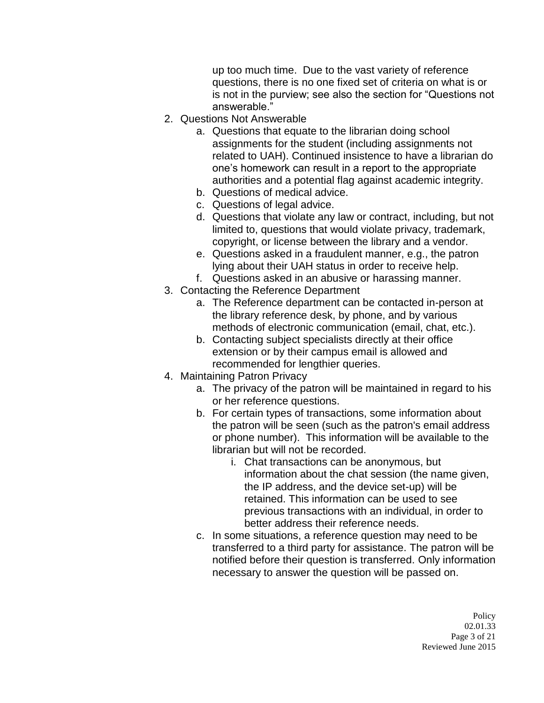up too much time. Due to the vast variety of reference questions, there is no one fixed set of criteria on what is or is not in the purview; see also the section for "Questions not answerable."

- 2. Questions Not Answerable
	- a. Questions that equate to the librarian doing school assignments for the student (including assignments not related to UAH). Continued insistence to have a librarian do one's homework can result in a report to the appropriate authorities and a potential flag against academic integrity.
	- b. Questions of medical advice.
	- c. Questions of legal advice.
	- d. Questions that violate any law or contract, including, but not limited to, questions that would violate privacy, trademark, copyright, or license between the library and a vendor.
	- e. Questions asked in a fraudulent manner, e.g., the patron lying about their UAH status in order to receive help.
	- f. Questions asked in an abusive or harassing manner.
- 3. Contacting the Reference Department
	- a. The Reference department can be contacted in-person at the library reference desk, by phone, and by various methods of electronic communication (email, chat, etc.).
	- b. Contacting subject specialists directly at their office extension or by their campus email is allowed and recommended for lengthier queries.
- 4. Maintaining Patron Privacy
	- a. The privacy of the patron will be maintained in regard to his or her reference questions.
	- b. For certain types of transactions, some information about the patron will be seen (such as the patron's email address or phone number). This information will be available to the librarian but will not be recorded.
		- i. Chat transactions can be anonymous, but information about the chat session (the name given, the IP address, and the device set-up) will be retained. This information can be used to see previous transactions with an individual, in order to better address their reference needs.
	- c. In some situations, a reference question may need to be transferred to a third party for assistance. The patron will be notified before their question is transferred. Only information necessary to answer the question will be passed on.

**Policy** 02.01.33 Page 3 of 21 Reviewed June 2015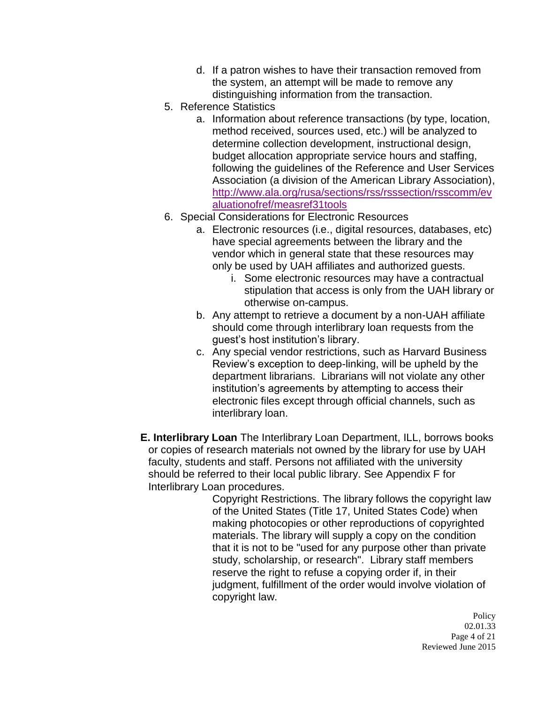- d. If a patron wishes to have their transaction removed from the system, an attempt will be made to remove any distinguishing information from the transaction.
- 5. Reference Statistics
	- a. Information about reference transactions (by type, location, method received, sources used, etc.) will be analyzed to determine collection development, instructional design, budget allocation appropriate service hours and staffing, following the guidelines of the Reference and User Services Association (a division of the American Library Association), [http://www.ala.org/rusa/sections/rss/rsssection/rsscomm/ev](http://www.ala.org/rusa/sections/rss/rsssection/rsscomm/evaluationofref/measref31tools) [aluationofref/measref31tools](http://www.ala.org/rusa/sections/rss/rsssection/rsscomm/evaluationofref/measref31tools)
- 6. Special Considerations for Electronic Resources
	- a. Electronic resources (i.e., digital resources, databases, etc) have special agreements between the library and the vendor which in general state that these resources may only be used by UAH affiliates and authorized guests.
		- i. Some electronic resources may have a contractual stipulation that access is only from the UAH library or otherwise on-campus.
	- b. Any attempt to retrieve a document by a non-UAH affiliate should come through interlibrary loan requests from the guest's host institution's library.
	- c. Any special vendor restrictions, such as Harvard Business Review's exception to deep-linking, will be upheld by the department librarians. Librarians will not violate any other institution's agreements by attempting to access their electronic files except through official channels, such as interlibrary loan.
- **E. Interlibrary Loan** The Interlibrary Loan Department, ILL, borrows books or copies of research materials not owned by the library for use by UAH faculty, students and staff. Persons not affiliated with the university should be referred to their local public library. See Appendix F for Interlibrary Loan procedures.

Copyright Restrictions. The library follows the copyright law of the United States (Title 17, United States Code) when making photocopies or other reproductions of copyrighted materials. The library will supply a copy on the condition that it is not to be "used for any purpose other than private study, scholarship, or research". Library staff members reserve the right to refuse a copying order if, in their judgment, fulfillment of the order would involve violation of copyright law.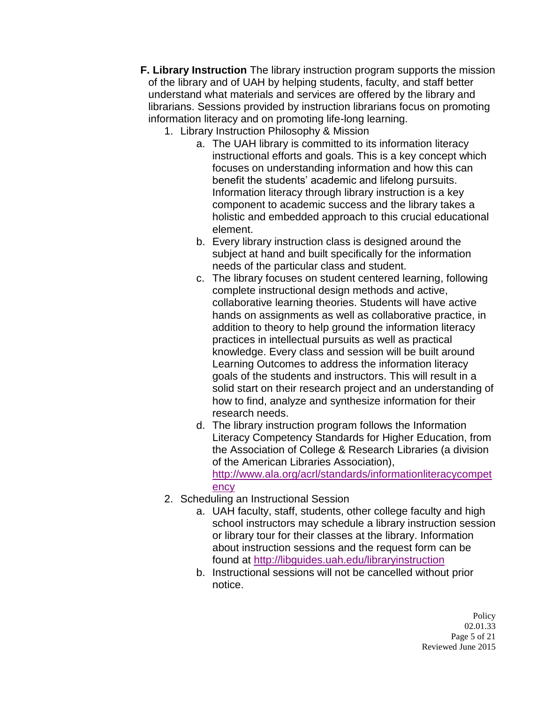- **F. Library Instruction** The library instruction program supports the mission of the library and of UAH by helping students, faculty, and staff better understand what materials and services are offered by the library and librarians. Sessions provided by instruction librarians focus on promoting information literacy and on promoting life-long learning.
	- 1. Library Instruction Philosophy & Mission
		- a. The UAH library is committed to its information literacy instructional efforts and goals. This is a key concept which focuses on understanding information and how this can benefit the students' academic and lifelong pursuits. Information literacy through library instruction is a key component to academic success and the library takes a holistic and embedded approach to this crucial educational element.
		- b. Every library instruction class is designed around the subject at hand and built specifically for the information needs of the particular class and student.
		- c. The library focuses on student centered learning, following complete instructional design methods and active, collaborative learning theories. Students will have active hands on assignments as well as collaborative practice, in addition to theory to help ground the information literacy practices in intellectual pursuits as well as practical knowledge. Every class and session will be built around Learning Outcomes to address the information literacy goals of the students and instructors. This will result in a solid start on their research project and an understanding of how to find, analyze and synthesize information for their research needs.
		- d. The library instruction program follows the Information Literacy Competency Standards for Higher Education, from the Association of College & Research Libraries (a division of the American Libraries Association), [http://www.ala.org/acrl/standards/informationliteracycompet](http://www.ala.org/acrl/standards/informationliteracycompetency) [ency](http://www.ala.org/acrl/standards/informationliteracycompetency)
	- 2. Scheduling an Instructional Session
		- a. UAH faculty, staff, students, other college faculty and high school instructors may schedule a library instruction session or library tour for their classes at the library. Information about instruction sessions and the request form can be found at <http://libguides.uah.edu/libraryinstruction>
		- b. Instructional sessions will not be cancelled without prior notice.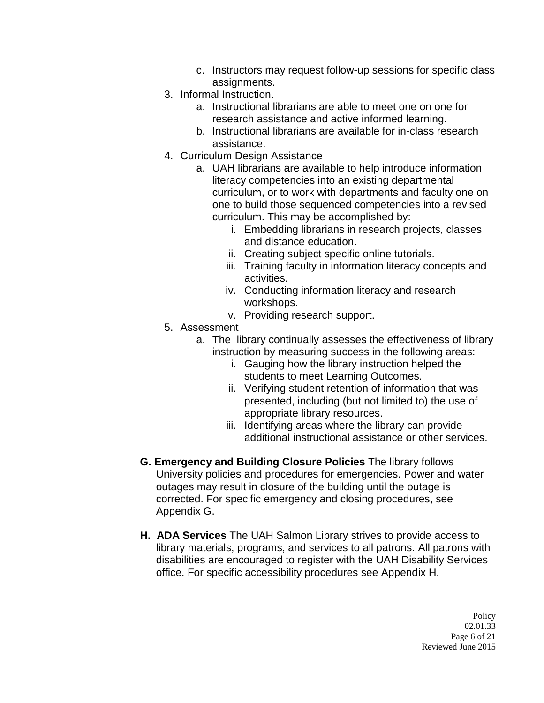- c. Instructors may request follow-up sessions for specific class assignments.
- 3. Informal Instruction.
	- a. Instructional librarians are able to meet one on one for research assistance and active informed learning.
	- b. Instructional librarians are available for in-class research assistance.
- 4. Curriculum Design Assistance
	- a. UAH librarians are available to help introduce information literacy competencies into an existing departmental curriculum, or to work with departments and faculty one on one to build those sequenced competencies into a revised curriculum. This may be accomplished by:
		- i. Embedding librarians in research projects, classes and distance education.
		- ii. Creating subject specific online tutorials.
		- iii. Training faculty in information literacy concepts and activities.
		- iv. Conducting information literacy and research workshops.
		- v. Providing research support.
- 5. Assessment
	- a. The library continually assesses the effectiveness of library instruction by measuring success in the following areas:
		- i. Gauging how the library instruction helped the students to meet Learning Outcomes.
		- ii. Verifying student retention of information that was presented, including (but not limited to) the use of appropriate library resources.
		- iii. Identifying areas where the library can provide additional instructional assistance or other services.
- **G. Emergency and Building Closure Policies** The library follows University policies and procedures for emergencies. Power and water outages may result in closure of the building until the outage is corrected. For specific emergency and closing procedures, see Appendix G.
- **H. ADA Services** The UAH Salmon Library strives to provide access to library materials, programs, and services to all patrons. All patrons with disabilities are encouraged to register with the UAH Disability Services office. For specific accessibility procedures see Appendix H.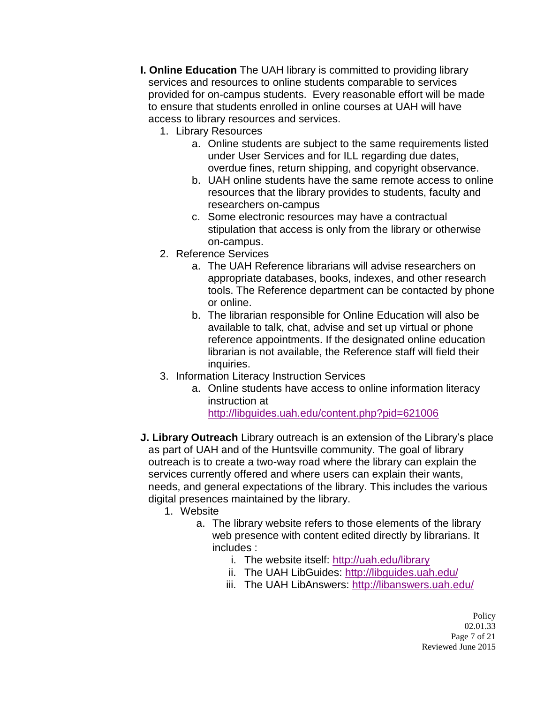- **I. Online Education** The UAH library is committed to providing library services and resources to online students comparable to services provided for on-campus students. Every reasonable effort will be made to ensure that students enrolled in online courses at UAH will have access to library resources and services.
	- 1. Library Resources
		- a. Online students are subject to the same requirements listed under User Services and for ILL regarding due dates, overdue fines, return shipping, and copyright observance.
		- b. UAH online students have the same remote access to online resources that the library provides to students, faculty and researchers on-campus
		- c. Some electronic resources may have a contractual stipulation that access is only from the library or otherwise on-campus.
	- 2. Reference Services
		- a. The UAH Reference librarians will advise researchers on appropriate databases, books, indexes, and other research tools. The Reference department can be contacted by phone or online.
		- b. The librarian responsible for Online Education will also be available to talk, chat, advise and set up virtual or phone reference appointments. If the designated online education librarian is not available, the Reference staff will field their inquiries.
	- 3. Information Literacy Instruction Services
		- a. Online students have access to online information literacy instruction at <http://libguides.uah.edu/content.php?pid=621006>
- **J. Library Outreach** Library outreach is an extension of the Library's place as part of UAH and of the Huntsville community. The goal of library outreach is to create a two-way road where the library can explain the services currently offered and where users can explain their wants, needs, and general expectations of the library. This includes the various digital presences maintained by the library.
	- 1. Website
		- a. The library website refers to those elements of the library web presence with content edited directly by librarians. It includes :
			- i. The website itself:<http://uah.edu/library>
			- ii. The UAH LibGuides:<http://libguides.uah.edu/>
			- iii. The UAH LibAnswers:<http://libanswers.uah.edu/>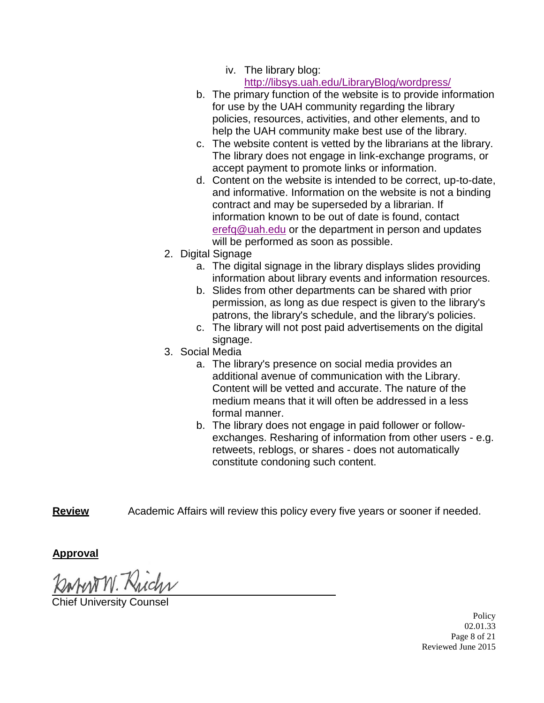#### iv. The library blog: <http://libsys.uah.edu/LibraryBlog/wordpress/>

- b. The primary function of the website is to provide information for use by the UAH community regarding the library policies, resources, activities, and other elements, and to help the UAH community make best use of the library.
- c. The website content is vetted by the librarians at the library. The library does not engage in link-exchange programs, or accept payment to promote links or information.
- d. Content on the website is intended to be correct, up-to-date, and informative. Information on the website is not a binding contract and may be superseded by a librarian. If information known to be out of date is found, contact [erefq@uah.edu](mailto:erefq@uah.edu) or the department in person and updates will be performed as soon as possible.
- 2. Digital Signage
	- a. The digital signage in the library displays slides providing information about library events and information resources.
	- b. Slides from other departments can be shared with prior permission, as long as due respect is given to the library's patrons, the library's schedule, and the library's policies.
	- c. The library will not post paid advertisements on the digital signage.
- 3. Social Media
	- a. The library's presence on social media provides an additional avenue of communication with the Library. Content will be vetted and accurate. The nature of the medium means that it will often be addressed in a less formal manner.
	- b. The library does not engage in paid follower or followexchanges. Resharing of information from other users - e.g. retweets, reblogs, or shares - does not automatically constitute condoning such content.

**Review** Academic Affairs will review this policy every five years or sooner if needed.

**Approval**

**University Counsel** 

Policy 02.01.33 Page 8 of 21 Reviewed June 2015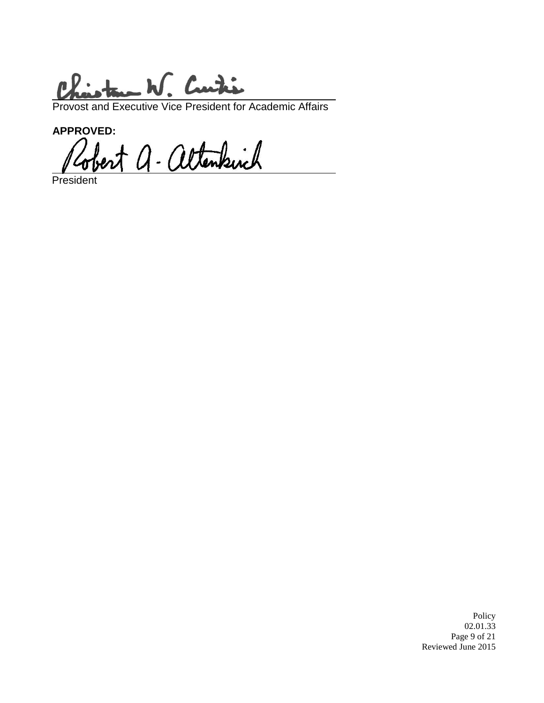tam W. Curtis  $\mathbf{r}$ 

Provost and Executive Vice President for Academic Affairs

APPROVED:<br>Robert a. altenkirch

President

Policy 02.01.33 Page 9 of 21 Reviewed June 2015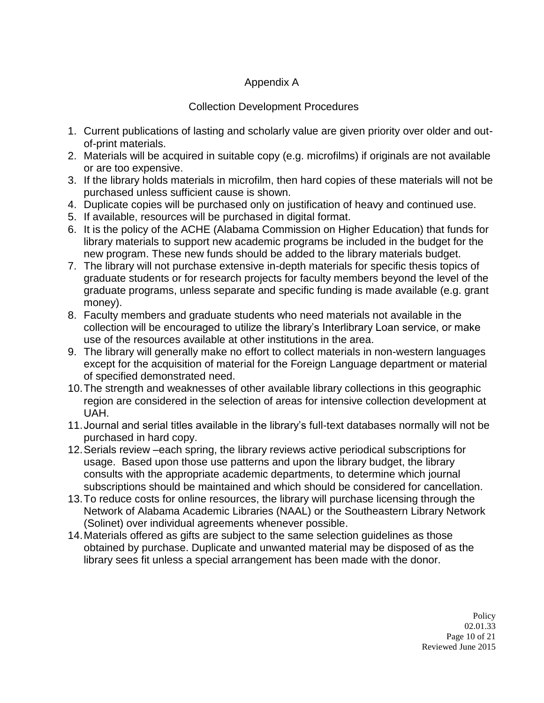## Appendix A

### Collection Development Procedures

- 1. Current publications of lasting and scholarly value are given priority over older and outof-print materials.
- 2. Materials will be acquired in suitable copy (e.g. microfilms) if originals are not available or are too expensive.
- 3. If the library holds materials in microfilm, then hard copies of these materials will not be purchased unless sufficient cause is shown.
- 4. Duplicate copies will be purchased only on justification of heavy and continued use.
- 5. If available, resources will be purchased in digital format.
- 6. It is the policy of the ACHE (Alabama Commission on Higher Education) that funds for library materials to support new academic programs be included in the budget for the new program. These new funds should be added to the library materials budget.
- 7. The library will not purchase extensive in-depth materials for specific thesis topics of graduate students or for research projects for faculty members beyond the level of the graduate programs, unless separate and specific funding is made available (e.g. grant money).
- 8. Faculty members and graduate students who need materials not available in the collection will be encouraged to utilize the library's Interlibrary Loan service, or make use of the resources available at other institutions in the area.
- 9. The library will generally make no effort to collect materials in non-western languages except for the acquisition of material for the Foreign Language department or material of specified demonstrated need.
- 10.The strength and weaknesses of other available library collections in this geographic region are considered in the selection of areas for intensive collection development at UAH.
- 11.Journal and serial titles available in the library's full-text databases normally will not be purchased in hard copy.
- 12.Serials review –each spring, the library reviews active periodical subscriptions for usage. Based upon those use patterns and upon the library budget, the library consults with the appropriate academic departments, to determine which journal subscriptions should be maintained and which should be considered for cancellation.
- 13.To reduce costs for online resources, the library will purchase licensing through the Network of Alabama Academic Libraries (NAAL) or the Southeastern Library Network (Solinet) over individual agreements whenever possible.
- 14.Materials offered as gifts are subject to the same selection guidelines as those obtained by purchase. Duplicate and unwanted material may be disposed of as the library sees fit unless a special arrangement has been made with the donor.

Policy 02.01.33 Page 10 of 21 Reviewed June 2015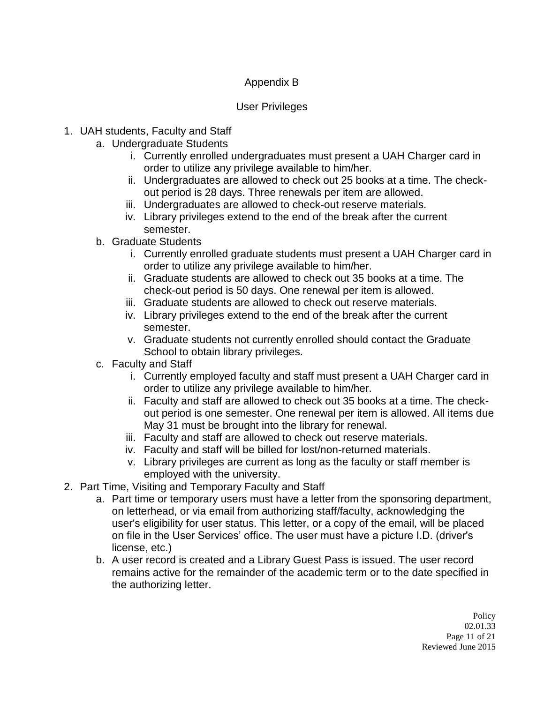# Appendix B

### User Privileges

- 1. UAH students, Faculty and Staff
	- a. Undergraduate Students
		- i. Currently enrolled undergraduates must present a UAH Charger card in order to utilize any privilege available to him/her.
		- ii. Undergraduates are allowed to check out 25 books at a time. The checkout period is 28 days. Three renewals per item are allowed.
		- iii. Undergraduates are allowed to check-out reserve materials.
		- iv. Library privileges extend to the end of the break after the current semester.
	- b. Graduate Students
		- i. Currently enrolled graduate students must present a UAH Charger card in order to utilize any privilege available to him/her.
		- ii. Graduate students are allowed to check out 35 books at a time. The check-out period is 50 days. One renewal per item is allowed.
		- iii. Graduate students are allowed to check out reserve materials.
		- iv. Library privileges extend to the end of the break after the current semester.
		- v. Graduate students not currently enrolled should contact the Graduate School to obtain library privileges.
	- c. Faculty and Staff
		- i. Currently employed faculty and staff must present a UAH Charger card in order to utilize any privilege available to him/her.
		- ii. Faculty and staff are allowed to check out 35 books at a time. The checkout period is one semester. One renewal per item is allowed. All items due May 31 must be brought into the library for renewal.
		- iii. Faculty and staff are allowed to check out reserve materials.
		- iv. Faculty and staff will be billed for lost/non-returned materials.
		- v. Library privileges are current as long as the faculty or staff member is employed with the university.
- 2. Part Time, Visiting and Temporary Faculty and Staff
	- a. Part time or temporary users must have a letter from the sponsoring department, on letterhead, or via email from authorizing staff/faculty, acknowledging the user's eligibility for user status. This letter, or a copy of the email, will be placed on file in the User Services' office. The user must have a picture I.D. (driver's license, etc.)
	- b. A user record is created and a Library Guest Pass is issued. The user record remains active for the remainder of the academic term or to the date specified in the authorizing letter.

**Policy** 02.01.33 Page 11 of 21 Reviewed June 2015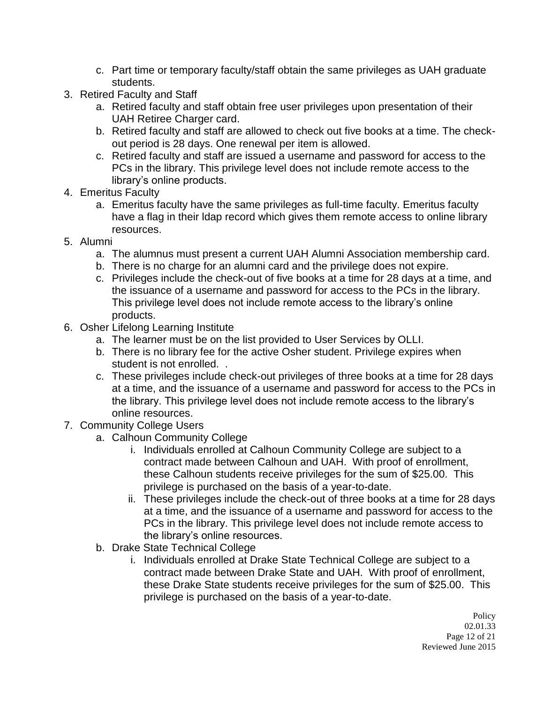- c. Part time or temporary faculty/staff obtain the same privileges as UAH graduate students.
- 3. Retired Faculty and Staff
	- a. Retired faculty and staff obtain free user privileges upon presentation of their UAH Retiree Charger card.
	- b. Retired faculty and staff are allowed to check out five books at a time. The checkout period is 28 days. One renewal per item is allowed.
	- c. Retired faculty and staff are issued a username and password for access to the PCs in the library. This privilege level does not include remote access to the library's online products.
- 4. Emeritus Faculty
	- a. Emeritus faculty have the same privileges as full-time faculty. Emeritus faculty have a flag in their ldap record which gives them remote access to online library resources.
- 5. Alumni
	- a. The alumnus must present a current UAH Alumni Association membership card.
	- b. There is no charge for an alumni card and the privilege does not expire.
	- c. Privileges include the check-out of five books at a time for 28 days at a time, and the issuance of a username and password for access to the PCs in the library. This privilege level does not include remote access to the library's online products.
- 6. Osher Lifelong Learning Institute
	- a. The learner must be on the list provided to User Services by OLLI.
	- b. There is no library fee for the active Osher student. Privilege expires when student is not enrolled. .
	- c. These privileges include check-out privileges of three books at a time for 28 days at a time, and the issuance of a username and password for access to the PCs in the library. This privilege level does not include remote access to the library's online resources.
- 7. Community College Users
	- a. Calhoun Community College
		- i. Individuals enrolled at Calhoun Community College are subject to a contract made between Calhoun and UAH. With proof of enrollment, these Calhoun students receive privileges for the sum of \$25.00. This privilege is purchased on the basis of a year-to-date.
		- ii. These privileges include the check-out of three books at a time for 28 days at a time, and the issuance of a username and password for access to the PCs in the library. This privilege level does not include remote access to the library's online resources.
	- b. Drake State Technical College
		- i. Individuals enrolled at Drake State Technical College are subject to a contract made between Drake State and UAH. With proof of enrollment, these Drake State students receive privileges for the sum of \$25.00. This privilege is purchased on the basis of a year-to-date.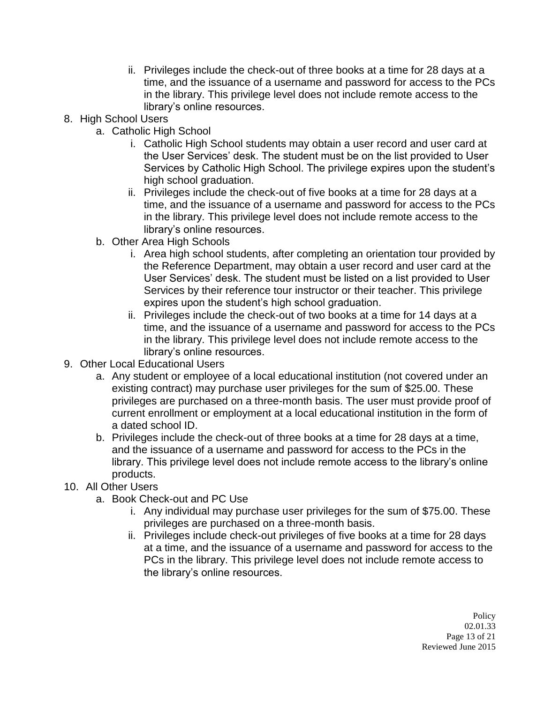- ii. Privileges include the check-out of three books at a time for 28 days at a time, and the issuance of a username and password for access to the PCs in the library. This privilege level does not include remote access to the library's online resources.
- 8. High School Users
	- a. Catholic High School
		- i. Catholic High School students may obtain a user record and user card at the User Services' desk. The student must be on the list provided to User Services by Catholic High School. The privilege expires upon the student's high school graduation.
		- ii. Privileges include the check-out of five books at a time for 28 days at a time, and the issuance of a username and password for access to the PCs in the library. This privilege level does not include remote access to the library's online resources.
	- b. Other Area High Schools
		- i. Area high school students, after completing an orientation tour provided by the Reference Department, may obtain a user record and user card at the User Services' desk. The student must be listed on a list provided to User Services by their reference tour instructor or their teacher. This privilege expires upon the student's high school graduation.
		- ii. Privileges include the check-out of two books at a time for 14 days at a time, and the issuance of a username and password for access to the PCs in the library. This privilege level does not include remote access to the library's online resources.
- 9. Other Local Educational Users
	- a. Any student or employee of a local educational institution (not covered under an existing contract) may purchase user privileges for the sum of \$25.00. These privileges are purchased on a three-month basis. The user must provide proof of current enrollment or employment at a local educational institution in the form of a dated school ID.
	- b. Privileges include the check-out of three books at a time for 28 days at a time, and the issuance of a username and password for access to the PCs in the library. This privilege level does not include remote access to the library's online products.
- 10. All Other Users
	- a. Book Check-out and PC Use
		- i. Any individual may purchase user privileges for the sum of \$75.00. These privileges are purchased on a three-month basis.
		- ii. Privileges include check-out privileges of five books at a time for 28 days at a time, and the issuance of a username and password for access to the PCs in the library. This privilege level does not include remote access to the library's online resources.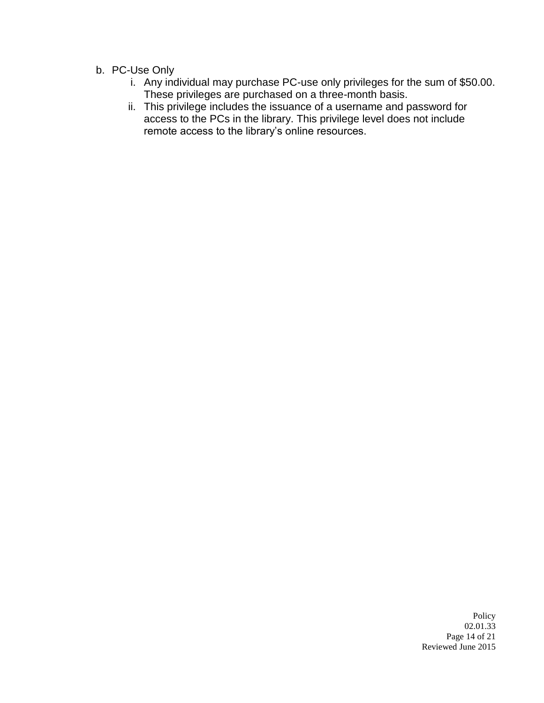- b. PC-Use Only
	- i. Any individual may purchase PC-use only privileges for the sum of \$50.00. These privileges are purchased on a three-month basis.
	- ii. This privilege includes the issuance of a username and password for access to the PCs in the library. This privilege level does not include remote access to the library's online resources.

Policy 02.01.33 Page 14 of 21 Reviewed June 2015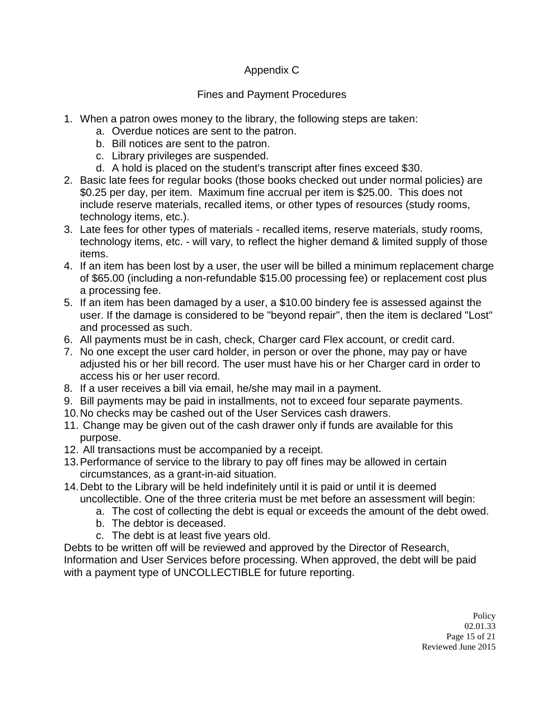# Appendix C

# Fines and Payment Procedures

- 1. When a patron owes money to the library, the following steps are taken:
	- a. Overdue notices are sent to the patron.
	- b. Bill notices are sent to the patron.
	- c. Library privileges are suspended.
	- d. A hold is placed on the student's transcript after fines exceed \$30.
- 2. Basic late fees for regular books (those books checked out under normal policies) are \$0.25 per day, per item. Maximum fine accrual per item is \$25.00. This does not include reserve materials, recalled items, or other types of resources (study rooms, technology items, etc.).
- 3. Late fees for other types of materials recalled items, reserve materials, study rooms, technology items, etc. - will vary, to reflect the higher demand & limited supply of those items.
- 4. If an item has been lost by a user, the user will be billed a minimum replacement charge of \$65.00 (including a non-refundable \$15.00 processing fee) or replacement cost plus a processing fee.
- 5. If an item has been damaged by a user, a \$10.00 bindery fee is assessed against the user. If the damage is considered to be "beyond repair", then the item is declared "Lost" and processed as such.
- 6. All payments must be in cash, check, Charger card Flex account, or credit card.
- 7. No one except the user card holder, in person or over the phone, may pay or have adjusted his or her bill record. The user must have his or her Charger card in order to access his or her user record.
- 8. If a user receives a bill via email, he/she may mail in a payment.
- 9. Bill payments may be paid in installments, not to exceed four separate payments.
- 10.No checks may be cashed out of the User Services cash drawers.
- 11. Change may be given out of the cash drawer only if funds are available for this purpose.
- 12. All transactions must be accompanied by a receipt.
- 13.Performance of service to the library to pay off fines may be allowed in certain circumstances, as a grant-in-aid situation.
- 14.Debt to the Library will be held indefinitely until it is paid or until it is deemed uncollectible. One of the three criteria must be met before an assessment will begin:
	- a. The cost of collecting the debt is equal or exceeds the amount of the debt owed.
	- b. The debtor is deceased.
	- c. The debt is at least five years old.

Debts to be written off will be reviewed and approved by the Director of Research, Information and User Services before processing. When approved, the debt will be paid with a payment type of UNCOLLECTIBLE for future reporting.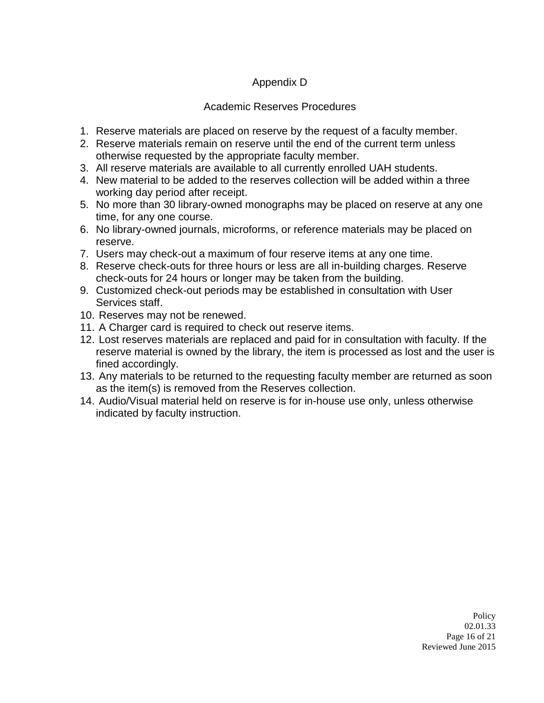# Appendix D

### Academic Reserves Procedures

- 1. Reserve materials are placed on reserve by the request of a faculty member.
- 2. Reserve materials remain on reserve until the end of the current term unless otherwise requested by the appropriate faculty member.
- 3. All reserve materials are available to all currently enrolled UAH students.
- 4. New material to be added to the reserves collection will be added within a three working day period after receipt.
- 5. No more than 30 library-owned monographs may be placed on reserve at any one time, for any one course.
- 6. No library-owned journals, microforms, or reference materials may be placed on reserve.
- 7. Users may check-out a maximum of four reserve items at any one time.
- 8. Reserve check-outs for three hours or less are all in-building charges. Reserve check-outs for 24 hours or longer may be taken from the building.
- 9. Customized check-out periods may be established in consultation with User Services staff.
- 10. Reserves may not be renewed.
- 11. A Charger card is required to check out reserve items.
- 12. Lost reserves materials are replaced and paid for in consultation with faculty. If the reserve material is owned by the library, the item is processed as lost and the user is fined accordingly.
- 13. Any materials to be returned to the requesting faculty member are returned as soon as the item(s) is removed from the Reserves collection.
- 14. Audio/Visual material held on reserve is for in-house use only, unless otherwise indicated by faculty instruction.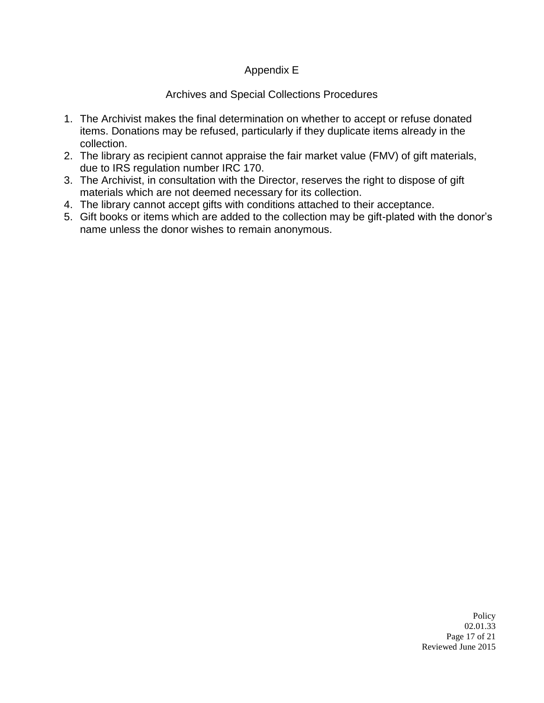### Appendix E

### Archives and Special Collections Procedures

- 1. The Archivist makes the final determination on whether to accept or refuse donated items. Donations may be refused, particularly if they duplicate items already in the collection.
- 2. The library as recipient cannot appraise the fair market value (FMV) of gift materials, due to IRS regulation number IRC 170.
- 3. The Archivist, in consultation with the Director, reserves the right to dispose of gift materials which are not deemed necessary for its collection.
- 4. The library cannot accept gifts with conditions attached to their acceptance.
- 5. Gift books or items which are added to the collection may be gift-plated with the donor's name unless the donor wishes to remain anonymous.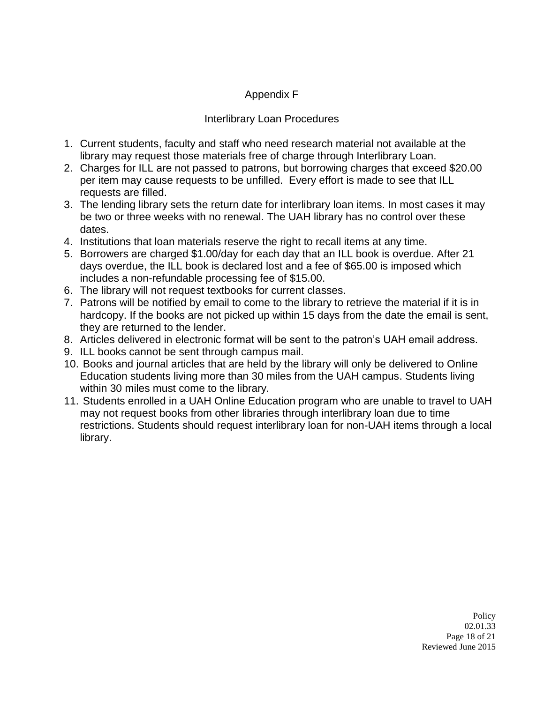# Appendix F

#### Interlibrary Loan Procedures

- 1. Current students, faculty and staff who need research material not available at the library may request those materials free of charge through Interlibrary Loan.
- 2. Charges for ILL are not passed to patrons, but borrowing charges that exceed \$20.00 per item may cause requests to be unfilled. Every effort is made to see that ILL requests are filled.
- 3. The lending library sets the return date for interlibrary loan items. In most cases it may be two or three weeks with no renewal. The UAH library has no control over these dates.
- 4. Institutions that loan materials reserve the right to recall items at any time.
- 5. Borrowers are charged \$1.00/day for each day that an ILL book is overdue. After 21 days overdue, the ILL book is declared lost and a fee of \$65.00 is imposed which includes a non-refundable processing fee of \$15.00.
- 6. The library will not request textbooks for current classes.
- 7. Patrons will be notified by email to come to the library to retrieve the material if it is in hardcopy. If the books are not picked up within 15 days from the date the email is sent, they are returned to the lender.
- 8. Articles delivered in electronic format will be sent to the patron's UAH email address.
- 9. ILL books cannot be sent through campus mail.
- 10. Books and journal articles that are held by the library will only be delivered to Online Education students living more than 30 miles from the UAH campus. Students living within 30 miles must come to the library.
- 11. Students enrolled in a UAH Online Education program who are unable to travel to UAH may not request books from other libraries through interlibrary loan due to time restrictions. Students should request interlibrary loan for non-UAH items through a local library.

Policy 02.01.33 Page 18 of 21 Reviewed June 2015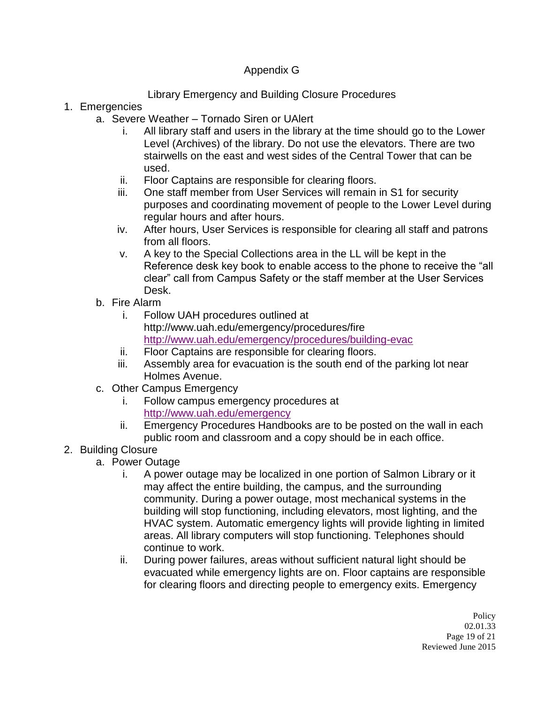## Appendix G

# Library Emergency and Building Closure Procedures

### 1. Emergencies

- a. Severe Weather Tornado Siren or UAlert
	- i. All library staff and users in the library at the time should go to the Lower Level (Archives) of the library. Do not use the elevators. There are two stairwells on the east and west sides of the Central Tower that can be used.
	- ii. Floor Captains are responsible for clearing floors.
	- iii. One staff member from User Services will remain in S1 for security purposes and coordinating movement of people to the Lower Level during regular hours and after hours.
	- iv. After hours, User Services is responsible for clearing all staff and patrons from all floors.
	- v. A key to the Special Collections area in the LL will be kept in the Reference desk key book to enable access to the phone to receive the "all clear" call from Campus Safety or the staff member at the User Services Desk.
- b. Fire Alarm
	- i. Follow UAH procedures outlined at http://www.uah.edu/emergency/procedures/fire <http://www.uah.edu/emergency/procedures/building-evac>
	- ii. Floor Captains are responsible for clearing floors.
	- iii. Assembly area for evacuation is the south end of the parking lot near Holmes Avenue.
- c. Other Campus Emergency
	- i. Follow campus emergency procedures at <http://www.uah.edu/emergency>
	- ii. Emergency Procedures Handbooks are to be posted on the wall in each public room and classroom and a copy should be in each office.

# 2. Building Closure

- a. Power Outage
	- i. A power outage may be localized in one portion of Salmon Library or it may affect the entire building, the campus, and the surrounding community. During a power outage, most mechanical systems in the building will stop functioning, including elevators, most lighting, and the HVAC system. Automatic emergency lights will provide lighting in limited areas. All library computers will stop functioning. Telephones should continue to work.
	- ii. During power failures, areas without sufficient natural light should be evacuated while emergency lights are on. Floor captains are responsible for clearing floors and directing people to emergency exits. Emergency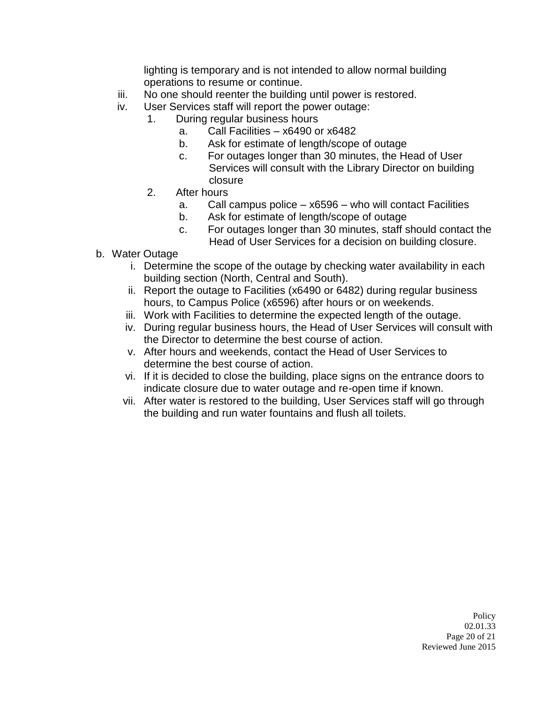lighting is temporary and is not intended to allow normal building operations to resume or continue.

- iii. No one should reenter the building until power is restored.
- iv. User Services staff will report the power outage:
	- 1. During regular business hours
		- a. Call Facilities x6490 or x6482
		- b. Ask for estimate of length/scope of outage
		- c. For outages longer than 30 minutes, the Head of User Services will consult with the Library Director on building closure
	- 2. After hours
		- a. Call campus police x6596 who will contact Facilities
		- b. Ask for estimate of length/scope of outage
		- c. For outages longer than 30 minutes, staff should contact the Head of User Services for a decision on building closure.
- b. Water Outage
	- i. Determine the scope of the outage by checking water availability in each building section (North, Central and South).
	- ii. Report the outage to Facilities (x6490 or 6482) during regular business hours, to Campus Police (x6596) after hours or on weekends.
	- iii. Work with Facilities to determine the expected length of the outage.
	- iv. During regular business hours, the Head of User Services will consult with the Director to determine the best course of action.
	- v. After hours and weekends, contact the Head of User Services to determine the best course of action.
	- vi. If it is decided to close the building, place signs on the entrance doors to indicate closure due to water outage and re-open time if known.
	- vii. After water is restored to the building, User Services staff will go through the building and run water fountains and flush all toilets.

Policy 02.01.33 Page 20 of 21 Reviewed June 2015